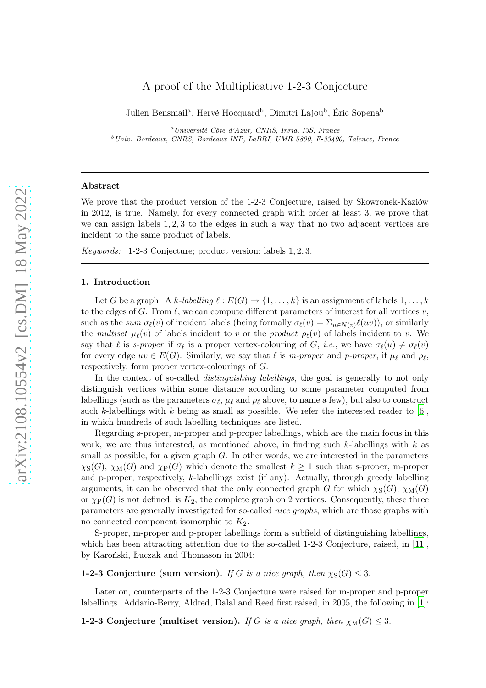# A proof of the Multiplicative 1-2-3 Conjecture

Julien Bensmail<sup>a</sup>, Hervé Hocquard<sup>b</sup>, Dimitri Lajou<sup>b</sup>, Éric Sopena<sup>b</sup>

<sup>a</sup>Université Côte d'Azur, CNRS, Inria, I3S, France  $b$ Univ. Bordeaux, CNRS, Bordeaux INP, LaBRI, UMR 5800, F-33400, Talence, France

# Abstract

We prove that the product version of the 1-2-3 Conjecture, raised by Skowronek-Kaziów in 2012, is true. Namely, for every connected graph with order at least 3, we prove that we can assign labels 1, 2, 3 to the edges in such a way that no two adjacent vertices are incident to the same product of labels.

Keywords: 1-2-3 Conjecture; product version; labels 1, 2, 3.

#### 1. Introduction

Let G be a graph. A k-labelling  $\ell : E(G) \to \{1, \ldots, k\}$  is an assignment of labels  $1, \ldots, k$ to the edges of G. From  $\ell$ , we can compute different parameters of interest for all vertices v, such as the sum  $\sigma_{\ell}(v)$  of incident labels (being formally  $\sigma_{\ell}(v) = \sum_{u \in N(v)} \ell(uv)$ ), or similarly the multiset  $\mu_{\ell}(v)$  of labels incident to v or the product  $\rho_{\ell}(v)$  of labels incident to v. We say that  $\ell$  is *s-proper* if  $\sigma_{\ell}$  is a proper vertex-colouring of G, *i.e.*, we have  $\sigma_{\ell}(u) \neq \sigma_{\ell}(v)$ for every edge  $uv \in E(G)$ . Similarly, we say that  $\ell$  is m-proper and p-proper, if  $\mu_{\ell}$  and  $\rho_{\ell}$ , respectively, form proper vertex-colourings of G.

In the context of so-called *distinguishing labellings*, the goal is generally to not only distinguish vertices within some distance according to some parameter computed from labellings (such as the parameters  $\sigma_{\ell}$ ,  $\mu_{\ell}$  and  $\rho_{\ell}$  above, to name a few), but also to construct such k-labellings with k being as small as possible. We refer the interested reader to  $[6]$ , in which hundreds of such labelling techniques are listed.

Regarding s-proper, m-proper and p-proper labellings, which are the main focus in this work, we are thus interested, as mentioned above, in finding such  $k$ -labellings with k as small as possible, for a given graph  $G$ . In other words, we are interested in the parameters  $\chi_{\rm S}(G)$ ,  $\chi_{\rm M}(G)$  and  $\chi_{\rm P}(G)$  which denote the smallest  $k \geq 1$  such that s-proper, m-proper and p-proper, respectively, k-labellings exist (if any). Actually, through greedy labelling arguments, it can be observed that the only connected graph G for which  $\chi_S(G)$ ,  $\chi_M(G)$ or  $\chi_P(G)$  is not defined, is  $K_2$ , the complete graph on 2 vertices. Consequently, these three parameters are generally investigated for so-called nice graphs, which are those graphs with no connected component isomorphic to  $K_2$ .

S-proper, m-proper and p-proper labellings form a subfield of distinguishing labellings, which has been attracting attention due to the so-called 1-2-3 Conjecture, raised, in [\[11\]](#page-16-1), by Karoński, Łuczak and Thomason in 2004:

# 1-2-3 Conjecture (sum version). If G is a nice graph, then  $\chi_S(G) \leq 3$ .

Later on, counterparts of the 1-2-3 Conjecture were raised for m-proper and p-proper labellings. Addario-Berry, Aldred, Dalal and Reed first raised, in 2005, the following in [\[1\]](#page-15-0):

**1-2-3 Conjecture (multiset version).** If G is a nice graph, then  $\chi_M(G) \leq 3$ .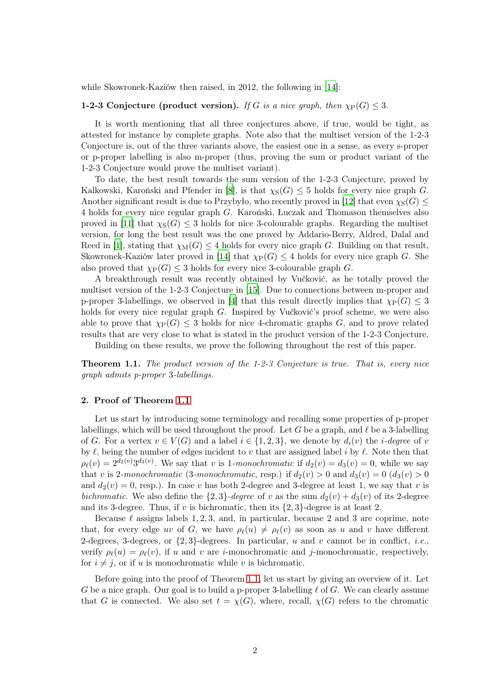while Skowronek-Kaziów then raised, in 2012, the following in [\[14](#page-16-2)]:

# 1-2-3 Conjecture (product version). If G is a nice graph, then  $\chi_P(G) \leq 3$ .

It is worth mentioning that all three conjectures above, if true, would be tight, as attested for instance by complete graphs. Note also that the multiset version of the 1-2-3 Conjecture is, out of the three variants above, the easiest one in a sense, as every s-proper or p-proper labelling is also m-proper (thus, proving the sum or product variant of the 1-2-3 Conjecture would prove the multiset variant).

To date, the best result towards the sum version of the 1-2-3 Conjecture, proved by Kalkowski, Karoński and Pfender in [\[8\]](#page-16-3), is that  $\chi_S(G) \leq 5$  holds for every nice graph G. Another significant result is due to Przybyło, who recently proved in [\[12](#page-16-4)] that even  $\chi_{\rm S}(G)$  < 4 holds for every nice regular graph G. Karoński, Łuczak and Thomason themselves also proved in [\[11\]](#page-16-1) that  $\chi_{S}(G) \leq 3$  holds for nice 3-colourable graphs. Regarding the multiset version, for long the best result was the one proved by Addario-Berry, Aldred, Dalal and Reed in [\[1](#page-15-0)], stating that  $\chi_M(G) \leq 4$  holds for every nice graph G. Building on that result, Skowronek-Kaziów later proved in [\[14](#page-16-2)] that  $\chi_P(G) \leq 4$  holds for every nice graph G. She also proved that  $\chi_P(G) \leq 3$  holds for every nice 3-colourable graph G.

A breakthrough result was recently obtained by Vučković, as he totally proved the multiset version of the 1-2-3 Conjecture in [\[15](#page-16-5)]. Due to connections between m-proper and p-proper 3-labellings, we observed in [\[4](#page-16-6)] that this result directly implies that  $\chi_P(G) \leq 3$ holds for every nice regular graph G. Inspired by Vučković's proof scheme, we were also able to prove that  $\chi_P(G) \leq 3$  holds for nice 4-chromatic graphs G, and to prove related results that are very close to what is stated in the product version of the 1-2-3 Conjecture.

Building on these results, we prove the following throughout the rest of this paper.

<span id="page-1-0"></span>Theorem 1.1. The product version of the 1-2-3 Conjecture is true. That is, every nice graph admits p-proper 3-labellings.

## 2. Proof of Theorem [1.1](#page-1-0)

Let us start by introducing some terminology and recalling some properties of p-proper labellings, which will be used throughout the proof. Let G be a graph, and  $\ell$  be a 3-labelling of G. For a vertex  $v \in V(G)$  and a label  $i \in \{1,2,3\}$ , we denote by  $d_i(v)$  the *i*-degree of v by  $\ell$ , being the number of edges incident to v that are assigned label i by  $\ell$ . Note then that  $\rho_{\ell}(v) = 2^{d_2(v)} 3^{d_3(v)}$ . We say that v is 1-monochromatic if  $d_2(v) = d_3(v) = 0$ , while we say that v is 2-monochromatic (3-monochromatic, resp.) if  $d_2(v) > 0$  and  $d_3(v) = 0$   $(d_3(v) > 0$ and  $d_2(v) = 0$ , resp.). In case v has both 2-degree and 3-degree at least 1, we say that v is bichromatic. We also define the  $\{2,3\}$ -degree of v as the sum  $d_2(v) + d_3(v)$  of its 2-degree and its 3-degree. Thus, if v is bichromatic, then its  $\{2, 3\}$ -degree is at least 2.

Because  $\ell$  assigns labels 1, 2, 3, and, in particular, because 2 and 3 are coprime, note that, for every edge uv of G, we have  $\rho_{\ell}(u) \neq \rho_{\ell}(v)$  as soon as u and v have different 2-degrees, 3-degrees, or  $\{2,3\}$ -degrees. In particular, u and v cannot be in conflict, *i.e.*, verify  $\rho_{\ell}(u) = \rho_{\ell}(v)$ , if u and v are i-monochromatic and j-monochromatic, respectively, for  $i \neq j$ , or if u is monochromatic while v is bichromatic.

Before going into the proof of Theorem [1.1,](#page-1-0) let us start by giving an overview of it. Let G be a nice graph. Our goal is to build a p-proper 3-labelling  $\ell$  of G. We can clearly assume that G is connected. We also set  $t = \chi(G)$ , where, recall,  $\chi(G)$  refers to the chromatic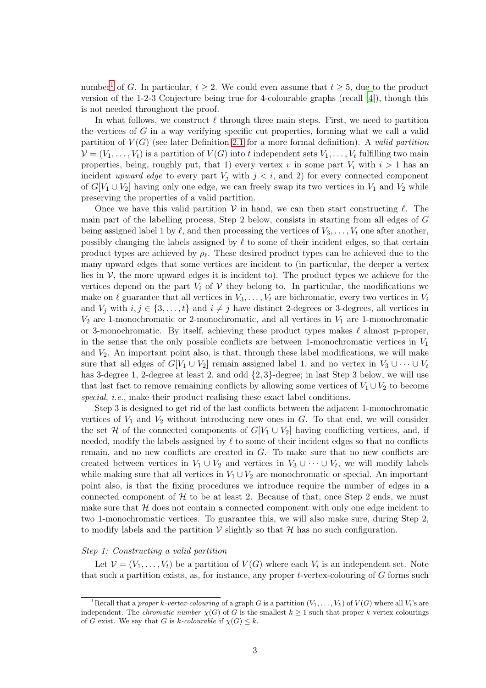number<sup>[1](#page-2-0)</sup> of G. In particular,  $t \geq 2$ . We could even assume that  $t \geq 5$ , due to the product version of the 1-2-3 Conjecture being true for 4-colourable graphs (recall [\[4\]](#page-16-6)), though this is not needed throughout the proof.

In what follows, we construct  $\ell$  through three main steps. First, we need to partition the vertices of  $G$  in a way verifying specific cut properties, forming what we call a valid partition of  $V(G)$  (see later Definition [2.1](#page-3-0) for a more formal definition). A valid partition  $\mathcal{V} = (V_1, \ldots, V_t)$  is a partition of  $V(G)$  into t independent sets  $V_1, \ldots, V_t$  fulfilling two main properties, being, roughly put, that 1) every vertex v in some part  $V_i$  with  $i > 1$  has an incident upward edge to every part  $V_i$  with  $j < i$ , and 2) for every connected component of  $G[V_1 \cup V_2]$  having only one edge, we can freely swap its two vertices in  $V_1$  and  $V_2$  while preserving the properties of a valid partition.

Once we have this valid partition  $V$  in hand, we can then start constructing  $\ell$ . The main part of the labelling process, Step 2 below, consists in starting from all edges of G being assigned label 1 by  $\ell$ , and then processing the vertices of  $V_3, \ldots, V_t$  one after another, possibly changing the labels assigned by  $\ell$  to some of their incident edges, so that certain product types are achieved by  $\rho_{\ell}$ . These desired product types can be achieved due to the many upward edges that some vertices are incident to (in particular, the deeper a vertex lies in  $V$ , the more upward edges it is incident to). The product types we achieve for the vertices depend on the part  $V_i$  of V they belong to. In particular, the modifications we make on  $\ell$  guarantee that all vertices in  $V_3, \ldots, V_t$  are bichromatic, every two vertices in  $V_i$ and  $V_i$  with  $i, j \in \{3, ..., t\}$  and  $i \neq j$  have distinct 2-degrees or 3-degrees, all vertices in  $V_2$  are 1-monochromatic or 2-monochromatic, and all vertices in  $V_1$  are 1-monochromatic or 3-monochromatic. By itself, achieving these product types makes  $\ell$  almost p-proper, in the sense that the only possible conflicts are between 1-monochromatic vertices in  $V_1$ and  $V_2$ . An important point also, is that, through these label modifications, we will make sure that all edges of  $G[V_1 \cup V_2]$  remain assigned label 1, and no vertex in  $V_3 \cup \cdots \cup V_t$ has 3-degree 1, 2-degree at least 2, and odd  $\{2,3\}$ -degree; in last Step 3 below, we will use that last fact to remove remaining conflicts by allowing some vertices of  $V_1 \cup V_2$  to become special, *i.e.*, make their product realising these exact label conditions.

Step 3 is designed to get rid of the last conflicts between the adjacent 1-monochromatic vertices of  $V_1$  and  $V_2$  without introducing new ones in  $G$ . To that end, we will consider the set H of the connected components of  $G[V_1 \cup V_2]$  having conflicting vertices, and, if needed, modify the labels assigned by  $\ell$  to some of their incident edges so that no conflicts remain, and no new conflicts are created in G. To make sure that no new conflicts are created between vertices in  $V_1 \cup V_2$  and vertices in  $V_3 \cup \cdots \cup V_t$ , we will modify labels while making sure that all vertices in  $V_1 \cup V_2$  are monochromatic or special. An important point also, is that the fixing procedures we introduce require the number of edges in a connected component of  $H$  to be at least 2. Because of that, once Step 2 ends, we must make sure that  $H$  does not contain a connected component with only one edge incident to two 1-monochromatic vertices. To guarantee this, we will also make sure, during Step 2, to modify labels and the partition  $V$  slightly so that  $H$  has no such configuration.

### Step 1: Constructing a valid partition

Let  $V = (V_1, \ldots, V_t)$  be a partition of  $V(G)$  where each  $V_i$  is an independent set. Note that such a partition exists, as, for instance, any proper  $t$ -vertex-colouring of  $G$  forms such

<span id="page-2-0"></span><sup>&</sup>lt;sup>1</sup>Recall that a proper k-vertex-colouring of a graph G is a partition  $(V_1, \ldots, V_k)$  of  $V(G)$  where all  $V_i$ 's are independent. The *chromatic number*  $\chi(G)$  of G is the smallest  $k \geq 1$  such that proper k-vertex-colourings of G exist. We say that G is k-colourable if  $\chi(G) \leq k$ .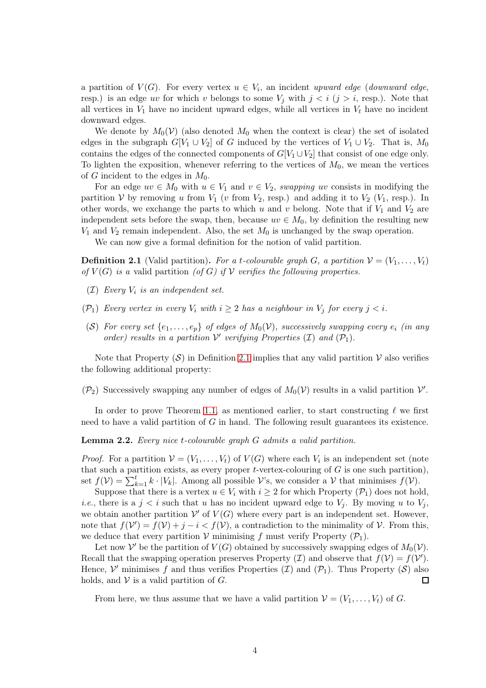a partition of  $V(G)$ . For every vertex  $u \in V_i$ , an incident upward edge (downward edge, resp.) is an edge uv for which v belongs to some  $V_j$  with  $j < i$   $(j > i$ , resp.). Note that all vertices in  $V_1$  have no incident upward edges, while all vertices in  $V_t$  have no incident downward edges.

We denote by  $M_0(\mathcal{V})$  (also denoted  $M_0$  when the context is clear) the set of isolated edges in the subgraph  $G[V_1 \cup V_2]$  of G induced by the vertices of  $V_1 \cup V_2$ . That is,  $M_0$ contains the edges of the connected components of  $G[V_1 \cup V_2]$  that consist of one edge only. To lighten the exposition, whenever referring to the vertices of  $M_0$ , we mean the vertices of G incident to the edges in  $M_0$ .

For an edge  $uv \in M_0$  with  $u \in V_1$  and  $v \in V_2$ , swapping uv consists in modifying the partition V by removing u from  $V_1$  (v from  $V_2$ , resp.) and adding it to  $V_2$  ( $V_1$ , resp.). In other words, we exchange the parts to which u and v belong. Note that if  $V_1$  and  $V_2$  are independent sets before the swap, then, because  $uv \in M_0$ , by definition the resulting new  $V_1$  and  $V_2$  remain independent. Also, the set  $M_0$  is unchanged by the swap operation.

We can now give a formal definition for the notion of valid partition.

<span id="page-3-0"></span>**Definition 2.1** (Valid partition). For a t-colourable graph G, a partition  $\mathcal{V} = (V_1, \ldots, V_t)$ of  $V(G)$  is a valid partition (of G) if V verifies the following properties.

- $(I)$  Every  $V_i$  is an independent set.
- ( $\mathcal{P}_1$ ) Every vertex in every  $V_i$  with  $i \geq 2$  has a neighbour in  $V_i$  for every  $j < i$ .
- (S) For every set  $\{e_1, \ldots, e_p\}$  of edges of  $M_0(\mathcal{V})$ , successively swapping every  $e_i$  (in any order) results in a partition  $\mathcal V'$  verifying Properties  $(\mathcal I)$  and  $(\mathcal P_1)$ .

Note that Property  $(\mathcal{S})$  in Definition [2.1](#page-3-0) implies that any valid partition  $\mathcal V$  also verifies the following additional property:

 $(\mathcal{P}_2)$  Successively swapping any number of edges of  $M_0(\mathcal{V})$  results in a valid partition  $\mathcal{V}'$ .

In order to prove Theorem [1.1,](#page-1-0) as mentioned earlier, to start constructing  $\ell$  we first need to have a valid partition of  $G$  in hand. The following result guarantees its existence.

Lemma 2.2. Every nice t-colourable graph G admits a valid partition.

*Proof.* For a partition  $V = (V_1, \ldots, V_t)$  of  $V(G)$  where each  $V_i$  is an independent set (note that such a partition exists, as every proper  $t$ -vertex-colouring of  $G$  is one such partition), set  $f(\mathcal{V}) = \sum_{k=1}^{t} k \cdot |V_k|$ . Among all possible  $\mathcal{V}$ 's, we consider a  $\mathcal{V}$  that minimises  $f(\mathcal{V})$ .

Suppose that there is a vertex  $u \in V_i$  with  $i \geq 2$  for which Property  $(\mathcal{P}_1)$  does not hold, *i.e.*, there is a  $j < i$  such that u has no incident upward edge to  $V_i$ . By moving u to  $V_i$ , we obtain another partition  $V'$  of  $V(G)$  where every part is an independent set. However, note that  $f(\mathcal{V}') = f(\mathcal{V}) + j - i < f(\mathcal{V})$ , a contradiction to the minimality of  $\mathcal{V}$ . From this, we deduce that every partition  $V$  minimising f must verify Property  $(\mathcal{P}_1)$ .

Let now  $\mathcal{V}'$  be the partition of  $V(G)$  obtained by successively swapping edges of  $M_0(\mathcal{V})$ . Recall that the swapping operation preserves Property (*I*) and observe that  $f(V) = f(V')$ . Hence,  $\mathcal V'$  minimises f and thus verifies Properties  $(\mathcal I)$  and  $(\mathcal P_1)$ . Thus Property  $(\mathcal S)$  also holds, and  $V$  is a valid partition of  $G$ . 口

From here, we thus assume that we have a valid partition  $V = (V_1, \ldots, V_t)$  of G.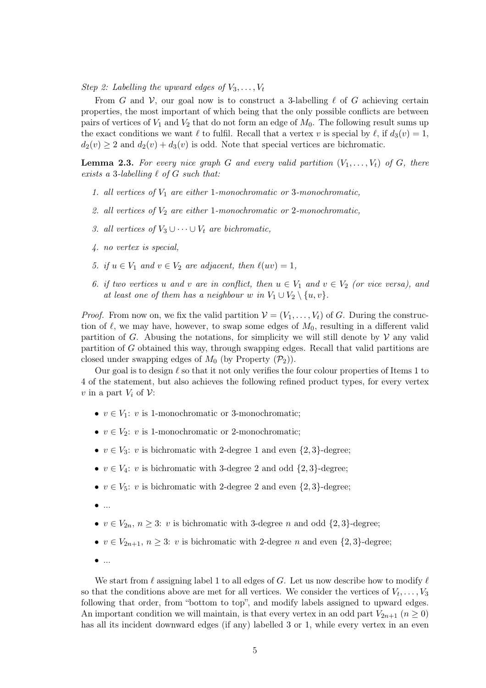Step 2: Labelling the upward edges of  $V_3, \ldots, V_t$ 

From G and V, our goal now is to construct a 3-labelling  $\ell$  of G achieving certain properties, the most important of which being that the only possible conflicts are between pairs of vertices of  $V_1$  and  $V_2$  that do not form an edge of  $M_0$ . The following result sums up the exact conditions we want  $\ell$  to fulfil. Recall that a vertex v is special by  $\ell$ , if  $d_3(v) = 1$ ,  $d_2(v) \geq 2$  and  $d_2(v) + d_3(v)$  is odd. Note that special vertices are bichromatic.

<span id="page-4-0"></span>**Lemma 2.3.** For every nice graph G and every valid partition  $(V_1, \ldots, V_t)$  of G, there exists a 3-labelling  $\ell$  of  $G$  such that:

- 1. all vertices of  $V_1$  are either 1-monochromatic or 3-monochromatic,
- 2. all vertices of  $V_2$  are either 1-monochromatic or 2-monochromatic,
- 3. all vertices of  $V_3 \cup \cdots \cup V_t$  are bichromatic,
- 4. no vertex is special,
- 5. if  $u \in V_1$  and  $v \in V_2$  are adjacent, then  $\ell(uv) = 1$ ,
- 6. if two vertices u and v are in conflict, then  $u \in V_1$  and  $v \in V_2$  (or vice versa), and at least one of them has a neighbour w in  $V_1 \cup V_2 \setminus \{u, v\}.$

*Proof.* From now on, we fix the valid partition  $V = (V_1, \ldots, V_t)$  of G. During the construction of  $\ell$ , we may have, however, to swap some edges of  $M_0$ , resulting in a different valid partition of G. Abusing the notations, for simplicity we will still denote by  $\mathcal V$  any valid partition of G obtained this way, through swapping edges. Recall that valid partitions are closed under swapping edges of  $M_0$  (by Property  $(\mathcal{P}_2)$ ).

Our goal is to design  $\ell$  so that it not only verifies the four colour properties of Items 1 to 4 of the statement, but also achieves the following refined product types, for every vertex v in a part  $V_i$  of  $\mathcal V$ :

- $v \in V_1$ : v is 1-monochromatic or 3-monochromatic;
- $v \in V_2$ : v is 1-monochromatic or 2-monochromatic;
- $v \in V_3$ : v is bichromatic with 2-degree 1 and even  $\{2,3\}$ -degree;
- $v \in V_4$ : v is bichromatic with 3-degree 2 and odd  $\{2,3\}$ -degree;
- $v \in V_5$ : v is bichromatic with 2-degree 2 and even  $\{2,3\}$ -degree;
- $\bullet$  ...
- $v \in V_{2n}$ ,  $n \geq 3$ : v is bichromatic with 3-degree n and odd  $\{2, 3\}$ -degree;
- $v \in V_{2n+1}, n \geq 3$ : v is bichromatic with 2-degree n and even  $\{2,3\}$ -degree;
- $\bullet$  ...

We start from  $\ell$  assigning label 1 to all edges of G. Let us now describe how to modify  $\ell$ so that the conditions above are met for all vertices. We consider the vertices of  $V_t, \ldots, V_3$ following that order, from "bottom to top", and modify labels assigned to upward edges. An important condition we will maintain, is that every vertex in an odd part  $V_{2n+1}$  ( $n \geq 0$ ) has all its incident downward edges (if any) labelled 3 or 1, while every vertex in an even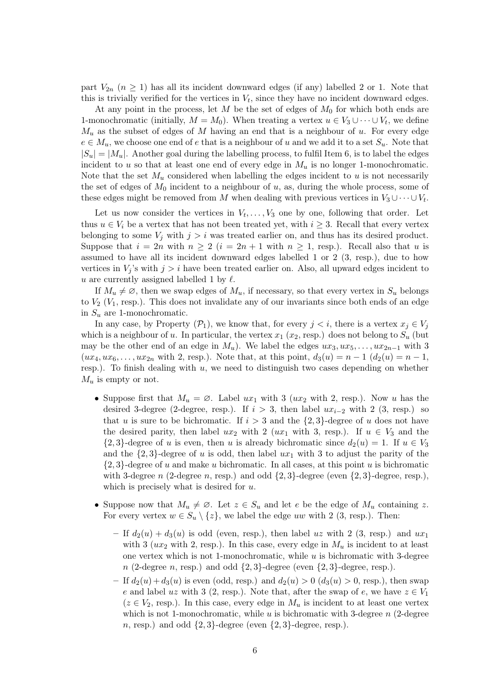part  $V_{2n}$   $(n \geq 1)$  has all its incident downward edges (if any) labelled 2 or 1. Note that this is trivially verified for the vertices in  $V_t$ , since they have no incident downward edges.

At any point in the process, let M be the set of edges of  $M_0$  for which both ends are 1-monochromatic (initially,  $M = M_0$ ). When treating a vertex  $u \in V_3 \cup \cdots \cup V_t$ , we define  $M_u$  as the subset of edges of M having an end that is a neighbour of u. For every edge  $e \in M_u$ , we choose one end of e that is a neighbour of u and we add it to a set  $S_u$ . Note that  $|S_u| = |M_u|$ . Another goal during the labelling process, to fulfil Item 6, is to label the edges incident to u so that at least one end of every edge in  $M_u$  is no longer 1-monochromatic. Note that the set  $M_u$  considered when labelling the edges incident to u is not necessarily the set of edges of  $M_0$  incident to a neighbour of  $u$ , as, during the whole process, some of these edges might be removed from M when dealing with previous vertices in  $V_3 \cup \cdots \cup V_t$ .

Let us now consider the vertices in  $V_t, \ldots, V_3$  one by one, following that order. Let thus  $u \in V_i$  be a vertex that has not been treated yet, with  $i \geq 3$ . Recall that every vertex belonging to some  $V_j$  with  $j > i$  was treated earlier on, and thus has its desired product. Suppose that  $i = 2n$  with  $n \ge 2$   $(i = 2n + 1$  with  $n \ge 1$ , resp.). Recall also that u is assumed to have all its incident downward edges labelled 1 or 2 (3, resp.), due to how vertices in  $V_i$ 's with  $j > i$  have been treated earlier on. Also, all upward edges incident to u are currently assigned labelled 1 by  $\ell$ .

If  $M_u \neq \emptyset$ , then we swap edges of  $M_u$ , if necessary, so that every vertex in  $S_u$  belongs to  $V_2$  ( $V_1$ , resp.). This does not invalidate any of our invariants since both ends of an edge in  $S_u$  are 1-monochromatic.

In any case, by Property  $(\mathcal{P}_1)$ , we know that, for every  $j < i$ , there is a vertex  $x_j \in V_j$ which is a neighbour of u. In particular, the vertex  $x_1$  ( $x_2$ , resp.) does not belong to  $S_u$  (but may be the other end of an edge in  $M_u$ ). We label the edges  $ux_3, ux_5, \ldots, ux_{2n-1}$  with 3  $(ux_4, ux_6,...,ux_{2n}$  with 2, resp.). Note that, at this point,  $d_3(u) = n - 1$   $(d_2(u) = n - 1,$ resp.). To finish dealing with  $u$ , we need to distinguish two cases depending on whether  $M_u$  is empty or not.

- Suppose first that  $M_u = \emptyset$ . Label  $ux_1$  with 3 ( $ux_2$  with 2, resp.). Now u has the desired 3-degree (2-degree, resp.). If  $i > 3$ , then label  $ux_{i-2}$  with 2 (3, resp.) so that u is sure to be bichromatic. If  $i > 3$  and the  $\{2, 3\}$ -degree of u does not have the desired parity, then label  $ux_2$  with 2 ( $ux_1$  with 3, resp.). If  $u \in V_3$  and the  $\{2,3\}$ -degree of u is even, then u is already bichromatic since  $d_2(u) = 1$ . If  $u \in V_3$ and the  $\{2,3\}$ -degree of u is odd, then label  $ux_1$  with 3 to adjust the parity of the  $\{2,3\}$ -degree of u and make u bichromatic. In all cases, at this point u is bichromatic with 3-degree n (2-degree n, resp.) and odd  $\{2,3\}$ -degree (even  $\{2,3\}$ -degree, resp.), which is precisely what is desired for  $u$ .
- Suppose now that  $M_u \neq \emptyset$ . Let  $z \in S_u$  and let e be the edge of  $M_u$  containing z. For every vertex  $w \in S_u \setminus \{z\}$ , we label the edge uw with 2 (3, resp.). Then:
	- If  $d_2(u) + d_3(u)$  is odd (even, resp.), then label uz with 2 (3, resp.) and ux<sub>1</sub> with 3 ( $ux_2$  with 2, resp.). In this case, every edge in  $M_u$  is incident to at least one vertex which is not 1-monochromatic, while  $u$  is bichromatic with 3-degree  $n$  (2-degree n, resp.) and odd  $\{2,3\}$ -degree (even  $\{2,3\}$ -degree, resp.).
	- If  $d_2(u) + d_3(u)$  is even (odd, resp.) and  $d_2(u) > 0$  ( $d_3(u) > 0$ , resp.), then swap e and label uz with 3 (2, resp.). Note that, after the swap of e, we have  $z \in V_1$  $(z \in V_2$ , resp.). In this case, every edge in  $M_u$  is incident to at least one vertex which is not 1-monochromatic, while u is bichromatic with 3-degree  $n$  (2-degree n, resp.) and odd  $\{2,3\}$ -degree (even  $\{2,3\}$ -degree, resp.).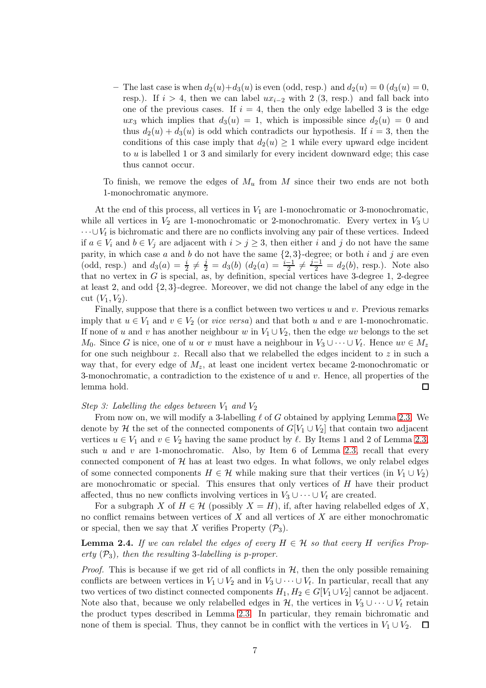– The last case is when  $d_2(u)+d_3(u)$  is even (odd, resp.) and  $d_2(u) = 0$   $(d_3(u) = 0,$ resp.). If  $i > 4$ , then we can label  $ux_{i-2}$  with 2 (3, resp.) and fall back into one of the previous cases. If  $i = 4$ , then the only edge labelled 3 is the edge ux<sub>3</sub> which implies that  $d_3(u) = 1$ , which is impossible since  $d_2(u) = 0$  and thus  $d_2(u) + d_3(u)$  is odd which contradicts our hypothesis. If  $i = 3$ , then the conditions of this case imply that  $d_2(u) \geq 1$  while every upward edge incident to u is labelled 1 or 3 and similarly for every incident downward edge; this case thus cannot occur.

To finish, we remove the edges of  $M_u$  from M since their two ends are not both 1-monochromatic anymore.

At the end of this process, all vertices in  $V_1$  are 1-monochromatic or 3-monochromatic, while all vertices in  $V_2$  are 1-monochromatic or 2-monochromatic. Every vertex in  $V_3 \cup$  $\dots \cup V_t$  is bichromatic and there are no conflicts involving any pair of these vertices. Indeed if  $a \in V_i$  and  $b \in V_j$  are adjacent with  $i > j \geq 3$ , then either i and j do not have the same parity, in which case a and b do not have the same  $\{2,3\}$ -degree; or both i and j are even (odd, resp.) and  $d_3(a) = \frac{i}{2} \neq \frac{j}{2} = d_3(b)$   $(d_2(a) = \frac{i-1}{2} \neq \frac{j-1}{2} = d_2(b)$ , resp.). Note also that no vertex in  $G$  is special, as, by definition, special vertices have 3-degree 1, 2-degree at least 2, and odd {2, 3}-degree. Moreover, we did not change the label of any edge in the cut  $(V_1, V_2)$ .

Finally, suppose that there is a conflict between two vertices  $u$  and  $v$ . Previous remarks imply that  $u \in V_1$  and  $v \in V_2$  (or *vice versa*) and that both u and v are 1-monochromatic. If none of u and v has another neighbour w in  $V_1 \cup V_2$ , then the edge uv belongs to the set  $M_0$ . Since G is nice, one of u or v must have a neighbour in  $V_3 \cup \cdots \cup V_t$ . Hence  $uv \in M_z$ for one such neighbour z. Recall also that we relabelled the edges incident to z in such a way that, for every edge of  $M_z$ , at least one incident vertex became 2-monochromatic or 3-monochromatic, a contradiction to the existence of  $u$  and  $v$ . Hence, all properties of the lemma hold.  $\Box$ 

#### Step 3: Labelling the edges between  $V_1$  and  $V_2$

From now on, we will modify a 3-labelling  $\ell$  of G obtained by applying Lemma [2.3.](#page-4-0) We denote by H the set of the connected components of  $G[V_1 \cup V_2]$  that contain two adjacent vertices  $u \in V_1$  and  $v \in V_2$  having the same product by  $\ell$ . By Items 1 and 2 of Lemma [2.3,](#page-4-0) such u and v are 1-monochromatic. Also, by Item 6 of Lemma [2.3,](#page-4-0) recall that every connected component of  $\mathcal{H}$  has at least two edges. In what follows, we only relabel edges of some connected components  $H \in \mathcal{H}$  while making sure that their vertices (in  $V_1 \cup V_2$ ) are monochromatic or special. This ensures that only vertices of H have their product affected, thus no new conflicts involving vertices in  $V_3 \cup \cdots \cup V_t$  are created.

For a subgraph X of  $H \in \mathcal{H}$  (possibly  $X = H$ ), if, after having relabelled edges of X, no conflict remains between vertices of  $X$  and all vertices of  $X$  are either monochromatic or special, then we say that X verifies Property  $(\mathcal{P}_3)$ .

<span id="page-6-0"></span>**Lemma 2.4.** If we can relabel the edges of every  $H \in \mathcal{H}$  so that every H verifies Property  $(\mathcal{P}_3)$ , then the resulting 3-labelling is p-proper.

*Proof.* This is because if we get rid of all conflicts in  $H$ , then the only possible remaining conflicts are between vertices in  $V_1 \cup V_2$  and in  $V_3 \cup \cdots \cup V_t$ . In particular, recall that any two vertices of two distinct connected components  $H_1, H_2 \in G[V_1 \cup V_2]$  cannot be adjacent. Note also that, because we only relabelled edges in H, the vertices in  $V_3 \cup \cdots \cup V_t$  retain the product types described in Lemma [2.3.](#page-4-0) In particular, they remain bichromatic and none of them is special. Thus, they cannot be in conflict with the vertices in  $V_1 \cup V_2$ .  $\Box$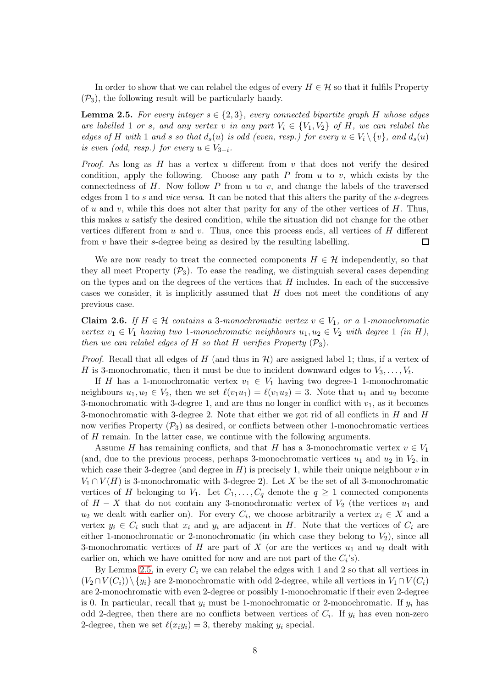In order to show that we can relabel the edges of every  $H \in \mathcal{H}$  so that it fulfils Property  $(\mathcal{P}_3)$ , the following result will be particularly handy.

<span id="page-7-0"></span>**Lemma 2.5.** For every integer  $s \in \{2,3\}$ , every connected bipartite graph H whose edges are labelled 1 or s, and any vertex v in any part  $V_i \in \{V_1, V_2\}$  of H, we can relabel the edges of H with 1 and s so that  $d_s(u)$  is odd (even, resp.) for every  $u \in V_i \setminus \{v\}$ , and  $d_s(u)$ is even (odd, resp.) for every  $u \in V_{3-i}$ .

*Proof.* As long as H has a vertex u different from v that does not verify the desired condition, apply the following. Choose any path  $P$  from  $u$  to  $v$ , which exists by the connectedness of  $H$ . Now follow  $P$  from  $u$  to  $v$ , and change the labels of the traversed edges from 1 to s and vice versa. It can be noted that this alters the parity of the s-degrees of u and v, while this does not alter that parity for any of the other vertices of  $H$ . Thus, this makes u satisfy the desired condition, while the situation did not change for the other vertices different from  $u$  and  $v$ . Thus, once this process ends, all vertices of  $H$  different from  $v$  have their s-degree being as desired by the resulting labelling.  $\Box$ 

We are now ready to treat the connected components  $H \in \mathcal{H}$  independently, so that they all meet Property  $(\mathcal{P}_3)$ . To ease the reading, we distinguish several cases depending on the types and on the degrees of the vertices that  $H$  includes. In each of the successive cases we consider, it is implicitly assumed that  $H$  does not meet the conditions of any previous case.

<span id="page-7-1"></span>Claim 2.6. If  $H \in \mathcal{H}$  contains a 3-monochromatic vertex  $v \in V_1$ , or a 1-monochromatic vertex  $v_1 \in V_1$  having two 1-monochromatic neighbours  $u_1, u_2 \in V_2$  with degree 1 (in H), then we can relabel edges of H so that H verifies Property  $(\mathcal{P}_3)$ .

*Proof.* Recall that all edges of H (and thus in  $\mathcal{H}$ ) are assigned label 1; thus, if a vertex of H is 3-monochromatic, then it must be due to incident downward edges to  $V_3, \ldots, V_t$ .

If H has a 1-monochromatic vertex  $v_1 \in V_1$  having two degree-1 1-monochromatic neighbours  $u_1, u_2 \in V_2$ , then we set  $\ell(v_1u_1) = \ell(v_1u_2) = 3$ . Note that  $u_1$  and  $u_2$  become 3-monochromatic with 3-degree 1, and are thus no longer in conflict with  $v_1$ , as it becomes 3-monochromatic with 3-degree 2. Note that either we got rid of all conflicts in  $H$  and  $H$ now verifies Property  $(\mathcal{P}_3)$  as desired, or conflicts between other 1-monochromatic vertices of H remain. In the latter case, we continue with the following arguments.

Assume H has remaining conflicts, and that H has a 3-monochromatic vertex  $v \in V_1$ (and, due to the previous process, perhaps 3-monochromatic vertices  $u_1$  and  $u_2$  in  $V_2$ , in which case their 3-degree (and degree in  $H$ ) is precisely 1, while their unique neighbour v in  $V_1 \cap V(H)$  is 3-monochromatic with 3-degree 2). Let X be the set of all 3-monochromatic vertices of H belonging to  $V_1$ . Let  $C_1, \ldots, C_q$  denote the  $q \geq 1$  connected components of  $H - X$  that do not contain any 3-monochromatic vertex of  $V_2$  (the vertices  $u_1$  and  $u_2$  we dealt with earlier on). For every  $C_i$ , we choose arbitrarily a vertex  $x_i \in X$  and a vertex  $y_i \in C_i$  such that  $x_i$  and  $y_i$  are adjacent in H. Note that the vertices of  $C_i$  are either 1-monochromatic or 2-monochromatic (in which case they belong to  $V_2$ ), since all 3-monochromatic vertices of H are part of X (or are the vertices  $u_1$  and  $u_2$  dealt with earlier on, which we have omitted for now and are not part of the  $C_i$ 's).

By Lemma [2.5,](#page-7-0) in every  $C_i$  we can relabel the edges with 1 and 2 so that all vertices in  $(V_2 \cap V(C_i)) \setminus \{y_i\}$  are 2-monochromatic with odd 2-degree, while all vertices in  $V_1 \cap V(C_i)$ are 2-monochromatic with even 2-degree or possibly 1-monochromatic if their even 2-degree is 0. In particular, recall that  $y_i$  must be 1-monochromatic or 2-monochromatic. If  $y_i$  has odd 2-degree, then there are no conflicts between vertices of  $C_i$ . If  $y_i$  has even non-zero 2-degree, then we set  $\ell(x_i y_i) = 3$ , thereby making  $y_i$  special.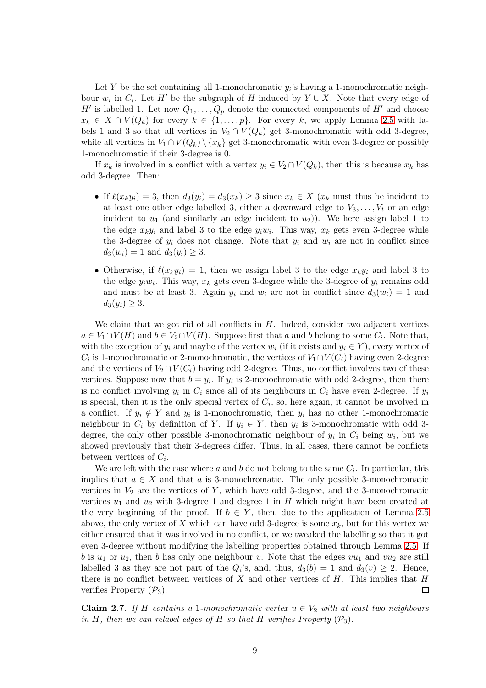Let Y be the set containing all 1-monochromatic  $y_i$ 's having a 1-monochromatic neighbour  $w_i$  in  $C_i$ . Let H' be the subgraph of H induced by  $Y \cup X$ . Note that every edge of H' is labelled 1. Let now  $Q_1, \ldots, Q_p$  denote the connected components of H' and choose  $x_k \in X \cap V(Q_k)$  for every  $k \in \{1, \ldots, p\}$ . For every k, we apply Lemma [2.5](#page-7-0) with labels 1 and 3 so that all vertices in  $V_2 \cap V(Q_k)$  get 3-monochromatic with odd 3-degree, while all vertices in  $V_1 \cap V(Q_k) \setminus \{x_k\}$  get 3-monochromatic with even 3-degree or possibly 1-monochromatic if their 3-degree is 0.

If  $x_k$  is involved in a conflict with a vertex  $y_i \in V_2 \cap V(Q_k)$ , then this is because  $x_k$  has odd 3-degree. Then:

- If  $\ell(x_k y_i) = 3$ , then  $d_3(y_i) = d_3(x_k) \geq 3$  since  $x_k \in X$   $(x_k \text{ must thus be incident to }$ at least one other edge labelled 3, either a downward edge to  $V_3, \ldots, V_t$  or an edge incident to  $u_1$  (and similarly an edge incident to  $u_2$ )). We here assign label 1 to the edge  $x_k y_i$  and label 3 to the edge  $y_i w_i$ . This way,  $x_k$  gets even 3-degree while the 3-degree of  $y_i$  does not change. Note that  $y_i$  and  $w_i$  are not in conflict since  $d_3(w_i) = 1$  and  $d_3(y_i) \geq 3$ .
- Otherwise, if  $\ell(x_k y_i) = 1$ , then we assign label 3 to the edge  $x_k y_i$  and label 3 to the edge  $y_iw_i$ . This way,  $x_k$  gets even 3-degree while the 3-degree of  $y_i$  remains odd and must be at least 3. Again  $y_i$  and  $w_i$  are not in conflict since  $d_3(w_i) = 1$  and  $d_3(y_i) \geq 3.$

We claim that we got rid of all conflicts in  $H$ . Indeed, consider two adjacent vertices  $a \in V_1 \cap V(H)$  and  $b \in V_2 \cap V(H)$ . Suppose first that a and b belong to some  $C_i$ . Note that, with the exception of  $y_i$  and maybe of the vertex  $w_i$  (if it exists and  $y_i \in Y$ ), every vertex of  $C_i$  is 1-monochromatic or 2-monochromatic, the vertices of  $V_1 \cap V(C_i)$  having even 2-degree and the vertices of  $V_2 \cap V(C_i)$  having odd 2-degree. Thus, no conflict involves two of these vertices. Suppose now that  $b = y_i$ . If  $y_i$  is 2-monochromatic with odd 2-degree, then there is no conflict involving  $y_i$  in  $C_i$  since all of its neighbours in  $C_i$  have even 2-degree. If  $y_i$ is special, then it is the only special vertex of  $C_i$ , so, here again, it cannot be involved in a conflict. If  $y_i \notin Y$  and  $y_i$  is 1-monochromatic, then  $y_i$  has no other 1-monochromatic neighbour in  $C_i$  by definition of Y. If  $y_i \in Y$ , then  $y_i$  is 3-monochromatic with odd 3degree, the only other possible 3-monochromatic neighbour of  $y_i$  in  $C_i$  being  $w_i$ , but we showed previously that their 3-degrees differ. Thus, in all cases, there cannot be conflicts between vertices of  $C_i$ .

We are left with the case where  $a$  and  $b$  do not belong to the same  $C_i$ . In particular, this implies that  $a \in X$  and that a is 3-monochromatic. The only possible 3-monochromatic vertices in  $V_2$  are the vertices of Y, which have odd 3-degree, and the 3-monochromatic vertices  $u_1$  and  $u_2$  with 3-degree 1 and degree 1 in H which might have been created at the very beginning of the proof. If  $b \in Y$ , then, due to the application of Lemma [2.5](#page-7-0) above, the only vertex of X which can have odd 3-degree is some  $x_k$ , but for this vertex we either ensured that it was involved in no conflict, or we tweaked the labelling so that it got even 3-degree without modifying the labelling properties obtained through Lemma [2.5.](#page-7-0) If b is  $u_1$  or  $u_2$ , then b has only one neighbour v. Note that the edges  $vu_1$  and  $vu_2$  are still labelled 3 as they are not part of the  $Q_i$ 's, and, thus,  $d_3(b) = 1$  and  $d_3(v) \geq 2$ . Hence, there is no conflict between vertices of X and other vertices of  $H$ . This implies that  $H$  $\Box$ verifies Property  $(\mathcal{P}_3)$ .

<span id="page-8-0"></span>Claim 2.7. If H contains a 1-monochromatic vertex  $u \in V_2$  with at least two neighbours in H, then we can relabel edges of H so that H verifies Property  $(\mathcal{P}_3)$ .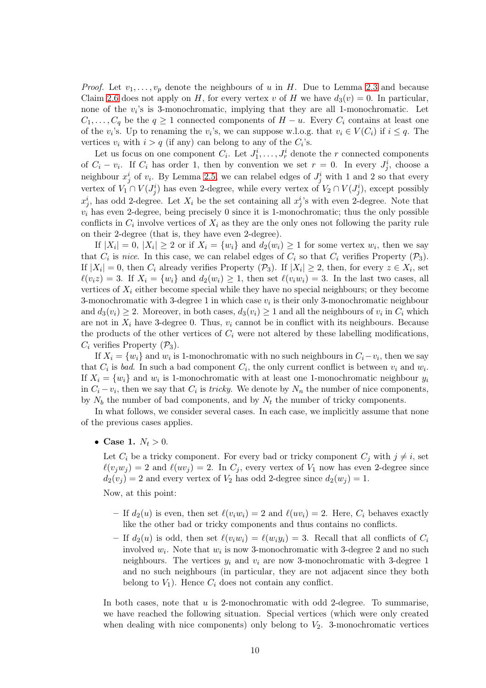*Proof.* Let  $v_1, \ldots, v_p$  denote the neighbours of u in H. Due to Lemma [2.3](#page-4-0) and because Claim [2.6](#page-7-1) does not apply on H, for every vertex v of H we have  $d_3(v) = 0$ . In particular, none of the  $v_i$ 's is 3-monochromatic, implying that they are all 1-monochromatic. Let  $C_1, \ldots, C_q$  be the  $q \geq 1$  connected components of  $H - u$ . Every  $C_i$  contains at least one of the  $v_i$ 's. Up to renaming the  $v_i$ 's, we can suppose w.l.o.g. that  $v_i \in V(C_i)$  if  $i \leq q$ . The vertices  $v_i$  with  $i > q$  (if any) can belong to any of the  $C_i$ 's.

Let us focus on one component  $C_i$ . Let  $J_1^i, \ldots, J_r^i$  denote the r connected components of  $C_i - v_i$ . If  $C_i$  has order 1, then by convention we set  $r = 0$ . In every  $J_j^i$ , choose a neighbour  $x_j^i$  of  $v_i$ . By Lemma [2.5,](#page-7-0) we can relabel edges of  $J_j^i$  with 1 and 2 so that every vertex of  $V_1 \cap V(J_j^i)$  has even 2-degree, while every vertex of  $V_2 \cap V(J_j^i)$ , except possibly  $x_j^i$ , has odd 2-degree. Let  $X_i$  be the set containing all  $x_j^i$ 's with even 2-degree. Note that  $v_i$  has even 2-degree, being precisely 0 since it is 1-monochromatic; thus the only possible conflicts in  $C_i$  involve vertices of  $X_i$  as they are the only ones not following the parity rule on their 2-degree (that is, they have even 2-degree).

If  $|X_i| = 0$ ,  $|X_i| \ge 2$  or if  $X_i = \{w_i\}$  and  $d_2(w_i) \ge 1$  for some vertex  $w_i$ , then we say that  $C_i$  is nice. In this case, we can relabel edges of  $C_i$  so that  $C_i$  verifies Property  $(\mathcal{P}_3)$ . If  $|X_i| = 0$ , then  $C_i$  already verifies Property  $(\mathcal{P}_3)$ . If  $|X_i| \geq 2$ , then, for every  $z \in X_i$ , set  $\ell(v_i z) = 3$ . If  $X_i = \{w_i\}$  and  $d_2(w_i) \geq 1$ , then set  $\ell(v_i w_i) = 3$ . In the last two cases, all vertices of  $X_i$  either become special while they have no special neighbours; or they become 3-monochromatic with 3-degree 1 in which case  $v_i$  is their only 3-monochromatic neighbour and  $d_3(v_i) \geq 2$ . Moreover, in both cases,  $d_3(v_i) \geq 1$  and all the neighbours of  $v_i$  in  $C_i$  which are not in  $X_i$  have 3-degree 0. Thus,  $v_i$  cannot be in conflict with its neighbours. Because the products of the other vertices of  $C_i$  were not altered by these labelling modifications,  $C_i$  verifies Property  $(\mathcal{P}_3)$ .

If  $X_i = \{w_i\}$  and  $w_i$  is 1-monochromatic with no such neighbours in  $C_i - v_i$ , then we say that  $C_i$  is bad. In such a bad component  $C_i$ , the only current conflict is between  $v_i$  and  $w_i$ . If  $X_i = \{w_i\}$  and  $w_i$  is 1-monochromatic with at least one 1-monochromatic neighbour  $y_i$ in  $C_i - v_i$ , then we say that  $C_i$  is *tricky*. We denote by  $N_n$  the number of nice components, by  $N_b$  the number of bad components, and by  $N_t$  the number of tricky components.

In what follows, we consider several cases. In each case, we implicitly assume that none of the previous cases applies.

• Case 1.  $N_t > 0$ .

Let  $C_i$  be a tricky component. For every bad or tricky component  $C_j$  with  $j \neq i$ , set  $\ell(v_jw_j) = 2$  and  $\ell(uv_j) = 2$ . In  $C_j$ , every vertex of  $V_1$  now has even 2-degree since  $d_2(v_i) = 2$  and every vertex of  $V_2$  has odd 2-degree since  $d_2(w_i) = 1$ .

Now, at this point:

- If  $d_2(u)$  is even, then set  $\ell(v_iw_i) = 2$  and  $\ell(uv_i) = 2$ . Here,  $C_i$  behaves exactly like the other bad or tricky components and thus contains no conflicts.
- If  $d_2(u)$  is odd, then set  $\ell(v_iw_i) = \ell(w_iy_i) = 3$ . Recall that all conflicts of  $C_i$ involved  $w_i$ . Note that  $w_i$  is now 3-monochromatic with 3-degree 2 and no such neighbours. The vertices  $y_i$  and  $v_i$  are now 3-monochromatic with 3-degree 1 and no such neighbours (in particular, they are not adjacent since they both belong to  $V_1$ ). Hence  $C_i$  does not contain any conflict.

In both cases, note that  $u$  is 2-monochromatic with odd 2-degree. To summarise, we have reached the following situation. Special vertices (which were only created when dealing with nice components) only belong to  $V_2$ . 3-monochromatic vertices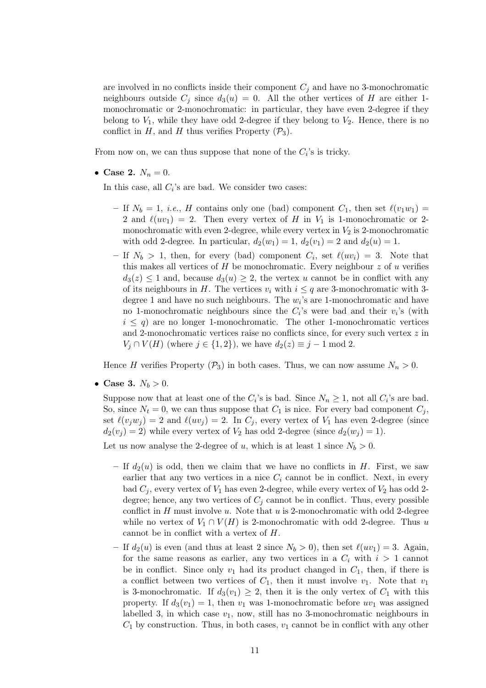are involved in no conflicts inside their component  $C_i$  and have no 3-monochromatic neighbours outside  $C_j$  since  $d_3(u) = 0$ . All the other vertices of H are either 1monochromatic or 2-monochromatic: in particular, they have even 2-degree if they belong to  $V_1$ , while they have odd 2-degree if they belong to  $V_2$ . Hence, there is no conflict in H, and H thus verifies Property  $(\mathcal{P}_3)$ .

From now on, we can thus suppose that none of the  $C_i$ 's is tricky.

• Case 2.  $N_n = 0$ .

In this case, all  $C_i$ 's are bad. We consider two cases:

- If  $N_b = 1$ , *i.e.*, H contains only one (bad) component  $C_1$ , then set  $\ell(v_1w_1)$  = 2 and  $\ell(uv_1) = 2$ . Then every vertex of H in  $V_1$  is 1-monochromatic or 2monochromatic with even 2-degree, while every vertex in  $V_2$  is 2-monochromatic with odd 2-degree. In particular,  $d_2(w_1) = 1$ ,  $d_2(v_1) = 2$  and  $d_2(u) = 1$ .
- If  $N_b > 1$ , then, for every (bad) component  $C_i$ , set  $\ell(uv_i) = 3$ . Note that this makes all vertices of  $H$  be monochromatic. Every neighbour  $z$  of  $u$  verifies  $d_3(z) \leq 1$  and, because  $d_3(u) \geq 2$ , the vertex u cannot be in conflict with any of its neighbours in H. The vertices  $v_i$  with  $i \leq q$  are 3-monochromatic with 3degree 1 and have no such neighbours. The  $w_i$ 's are 1-monochromatic and have no 1-monochromatic neighbours since the  $C_i$ 's were bad and their  $v_i$ 's (with  $i \leq q$ ) are no longer 1-monochromatic. The other 1-monochromatic vertices and 2-monochromatic vertices raise no conflicts since, for every such vertex z in  $V_j \cap V(H)$  (where  $j \in \{1,2\}$ ), we have  $d_2(z) \equiv j-1 \mod 2$ .

Hence H verifies Property  $(\mathcal{P}_3)$  in both cases. Thus, we can now assume  $N_n > 0$ .

• Case 3.  $N_b > 0$ .

Suppose now that at least one of the  $C_i$ 's is bad. Since  $N_n \geq 1$ , not all  $C_i$ 's are bad. So, since  $N_t = 0$ , we can thus suppose that  $C_1$  is nice. For every bad component  $C_j$ , set  $\ell(v_jw_j) = 2$  and  $\ell(uv_j) = 2$ . In  $C_j$ , every vertex of  $V_1$  has even 2-degree (since  $d_2(v_j) = 2$ ) while every vertex of  $V_2$  has odd 2-degree (since  $d_2(w_j) = 1$ ).

Let us now analyse the 2-degree of u, which is at least 1 since  $N_b > 0$ .

- If  $d_2(u)$  is odd, then we claim that we have no conflicts in H. First, we saw earlier that any two vertices in a nice  $C_i$  cannot be in conflict. Next, in every bad  $C_i$ , every vertex of  $V_1$  has even 2-degree, while every vertex of  $V_2$  has odd 2degree; hence, any two vertices of  $C_i$  cannot be in conflict. Thus, every possible conflict in  $H$  must involve  $u$ . Note that  $u$  is 2-monochromatic with odd 2-degree while no vertex of  $V_1 \cap V(H)$  is 2-monochromatic with odd 2-degree. Thus u cannot be in conflict with a vertex of H.
- If  $d_2(u)$  is even (and thus at least 2 since  $N_b > 0$ ), then set  $\ell(uv_1) = 3$ . Again, for the same reasons as earlier, any two vertices in a  $C_i$  with  $i > 1$  cannot be in conflict. Since only  $v_1$  had its product changed in  $C_1$ , then, if there is a conflict between two vertices of  $C_1$ , then it must involve  $v_1$ . Note that  $v_1$ is 3-monochromatic. If  $d_3(v_1) \geq 2$ , then it is the only vertex of  $C_1$  with this property. If  $d_3(v_1) = 1$ , then  $v_1$  was 1-monochromatic before  $uv_1$  was assigned labelled 3, in which case  $v_1$ , now, still has no 3-monochromatic neighbours in  $C_1$  by construction. Thus, in both cases,  $v_1$  cannot be in conflict with any other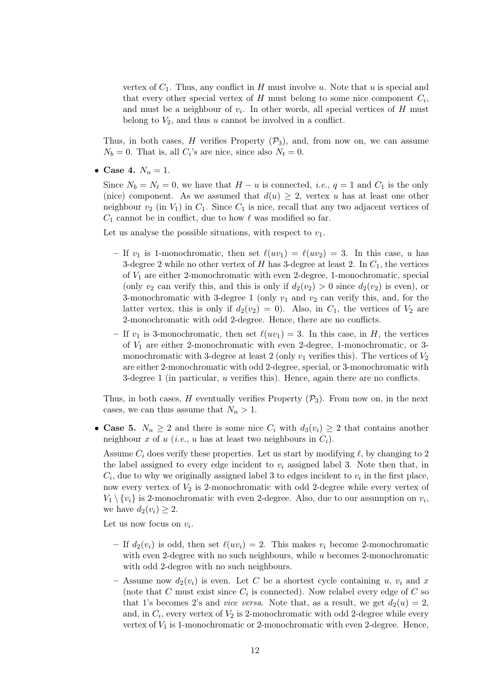vertex of  $C_1$ . Thus, any conflict in H must involve u. Note that u is special and that every other special vertex of  $H$  must belong to some nice component  $C_i$ , and must be a neighbour of  $v_i$ . In other words, all special vertices of H must belong to  $V_2$ , and thus u cannot be involved in a conflict.

Thus, in both cases, H verifies Property  $(\mathcal{P}_3)$ , and, from now on, we can assume  $N_b = 0$ . That is, all  $C_i$ 's are nice, since also  $N_t = 0$ .

• Case 4.  $N_n = 1$ .

Since  $N_b = N_t = 0$ , we have that  $H - u$  is connected, *i.e.*,  $q = 1$  and  $C_1$  is the only (nice) component. As we assumed that  $d(u) \geq 2$ , vertex u has at least one other neighbour  $v_2$  (in  $V_1$ ) in  $C_1$ . Since  $C_1$  is nice, recall that any two adjacent vertices of  $C_1$  cannot be in conflict, due to how  $\ell$  was modified so far.

Let us analyse the possible situations, with respect to  $v_1$ .

- If  $v_1$  is 1-monochromatic, then set  $\ell(uv_1) = \ell(uv_2) = 3$ . In this case, u has 3-degree 2 while no other vertex of H has 3-degree at least 2. In  $C_1$ , the vertices of  $V_1$  are either 2-monochromatic with even 2-degree, 1-monochromatic, special (only  $v_2$  can verify this, and this is only if  $d_2(v_2) > 0$  since  $d_2(v_2)$  is even), or 3-monochromatic with 3-degree 1 (only  $v_1$  and  $v_2$  can verify this, and, for the latter vertex, this is only if  $d_2(v_2) = 0$ . Also, in  $C_1$ , the vertices of  $V_2$  are 2-monochromatic with odd 2-degree. Hence, there are no conflicts.
- If  $v_1$  is 3-monochromatic, then set  $\ell(uv_1) = 3$ . In this case, in H, the vertices of  $V_1$  are either 2-monochromatic with even 2-degree, 1-monochromatic, or 3monochromatic with 3-degree at least 2 (only  $v_1$  verifies this). The vertices of  $V_2$ are either 2-monochromatic with odd 2-degree, special, or 3-monochromatic with 3-degree 1 (in particular,  $u$  verifies this). Hence, again there are no conflicts.

Thus, in both cases, H eventually verifies Property  $(\mathcal{P}_3)$ . From now on, in the next cases, we can thus assume that  $N_n > 1$ .

• Case 5.  $N_n \geq 2$  and there is some nice  $C_i$  with  $d_3(v_i) \geq 2$  that contains another neighbour x of u (*i.e.*, u has at least two neighbours in  $C_i$ ).

Assume  $C_i$  does verify these properties. Let us start by modifying  $\ell$ , by changing to 2 the label assigned to every edge incident to  $v_i$  assigned label 3. Note then that, in  $C_i$ , due to why we originally assigned label 3 to edges incident to  $v_i$  in the first place, now every vertex of  $V_2$  is 2-monochromatic with odd 2-degree while every vertex of  $V_1 \setminus \{v_i\}$  is 2-monochromatic with even 2-degree. Also, due to our assumption on  $v_i$ , we have  $d_2(v_i) \geq 2$ .

Let us now focus on  $v_i$ .

- If  $d_2(v_i)$  is odd, then set  $\ell(uv_i) = 2$ . This makes  $v_i$  become 2-monochromatic with even 2-degree with no such neighbours, while  $u$  becomes 2-monochromatic with odd 2-degree with no such neighbours.
- Assume now  $d_2(v_i)$  is even. Let C be a shortest cycle containing u,  $v_i$  and x (note that C must exist since  $C_i$  is connected). Now relabel every edge of C so that 1's becomes 2's and *vice versa*. Note that, as a result, we get  $d_2(u) = 2$ , and, in  $C_i$ , every vertex of  $V_2$  is 2-monochromatic with odd 2-degree while every vertex of  $V_1$  is 1-monochromatic or 2-monochromatic with even 2-degree. Hence,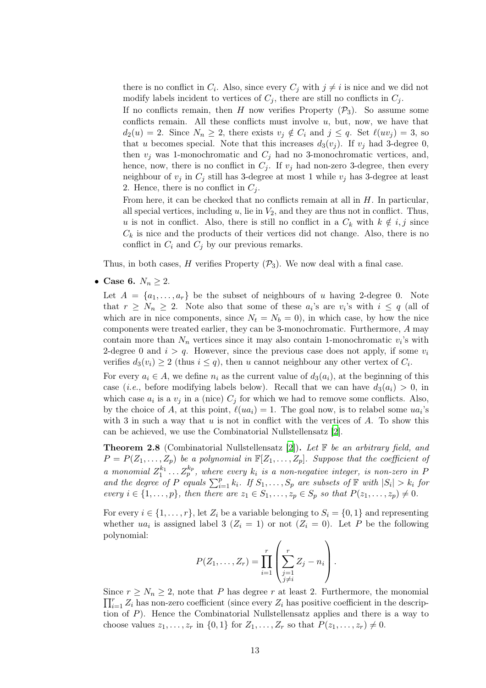there is no conflict in  $C_i$ . Also, since every  $C_j$  with  $j \neq i$  is nice and we did not modify labels incident to vertices of  $C_j$ , there are still no conflicts in  $C_j$ .

If no conflicts remain, then H now verifies Property  $(\mathcal{P}_3)$ . So assume some conflicts remain. All these conflicts must involve  $u$ , but, now, we have that  $d_2(u) = 2$ . Since  $N_n \geq 2$ , there exists  $v_j \notin C_i$  and  $j \leq q$ . Set  $\ell(uv_j) = 3$ , so that u becomes special. Note that this increases  $d_3(v_i)$ . If  $v_i$  had 3-degree 0, then  $v_i$  was 1-monochromatic and  $C_i$  had no 3-monochromatic vertices, and, hence, now, there is no conflict in  $C_i$ . If  $v_j$  had non-zero 3-degree, then every neighbour of  $v_j$  in  $C_j$  still has 3-degree at most 1 while  $v_j$  has 3-degree at least 2. Hence, there is no conflict in  $C_i$ .

From here, it can be checked that no conflicts remain at all in  $H$ . In particular, all special vertices, including  $u$ , lie in  $V_2$ , and they are thus not in conflict. Thus, u is not in conflict. Also, there is still no conflict in a  $C_k$  with  $k \notin i, j$  since  $C_k$  is nice and the products of their vertices did not change. Also, there is no conflict in  $C_i$  and  $C_j$  by our previous remarks.

Thus, in both cases, H verifies Property  $(\mathcal{P}_3)$ . We now deal with a final case.

• Case 6.  $N_n \geq 2$ .

Let  $A = \{a_1, \ldots, a_r\}$  be the subset of neighbours of u having 2-degree 0. Note that  $r \geq N_n \geq 2$ . Note also that some of these  $a_i$ 's are  $v_i$ 's with  $i \leq q$  (all of which are in nice components, since  $N_t = N_b = 0$ , in which case, by how the nice components were treated earlier, they can be 3-monochromatic. Furthermore, A may contain more than  $N_n$  vertices since it may also contain 1-monochromatic  $v_i$ 's with 2-degree 0 and  $i > q$ . However, since the previous case does not apply, if some  $v_i$ verifies  $d_3(v_i) \geq 2$  (thus  $i \leq q$ ), then u cannot neighbour any other vertex of  $C_i$ .

For every  $a_i \in A$ , we define  $n_i$  as the current value of  $d_3(a_i)$ , at the beginning of this case (*i.e.*, before modifying labels below). Recall that we can have  $d_3(a_i) > 0$ , in which case  $a_i$  is a  $v_j$  in a (nice)  $C_j$  for which we had to remove some conflicts. Also, by the choice of A, at this point,  $\ell(ua_i) = 1$ . The goal now, is to relabel some  $ua_i$ 's with 3 in such a way that u is not in conflict with the vertices of  $A$ . To show this can be achieved, we use the Combinatorial Nullstellensatz [\[2\]](#page-15-1).

**Theorem 2.8** (Combinatorial Nullstellensatz [\[2\]](#page-15-1)). Let  $\mathbb{F}$  be an arbitrary field, and  $P = P(Z_1, \ldots, Z_p)$  be a polynomial in  $\mathbb{F}[Z_1, \ldots, Z_p]$ . Suppose that the coefficient of a monomial  $Z_1^{k_1}$  $x_1^{k_1} \ldots Z_p^{k_p}$ , where every  $k_i$  is a non-negative integer, is non-zero in P and the degree of P equals  $\sum_{i=1}^{p} k_i$ . If  $S_1, \ldots, S_p$  are subsets of  $\mathbb{F}$  with  $|S_i| > k_i$  for every  $i \in \{1, \ldots, p\}$ , then there are  $z_1 \in S_1, \ldots, z_p \in S_p$  so that  $P(z_1, \ldots, z_p) \neq 0$ .

For every  $i \in \{1, \ldots, r\}$ , let  $Z_i$  be a variable belonging to  $S_i = \{0, 1\}$  and representing whether  $ua_i$  is assigned label 3  $(Z_i = 1)$  or not  $(Z_i = 0)$ . Let P be the following polynomial:

$$
P(Z_1,\ldots,Z_r)=\prod_{i=1}^r\left(\sum_{\substack{j=1 \ j\neq i}}^r Z_j-n_i\right).
$$

Since  $r \ge N_n \ge 2$ , note that P has degree r at least 2. Furthermore, the monomial  $\prod_{i=1}^r Z_i$  has non-zero coefficient (since every  $Z_i$  has positive coefficient in the description of P). Hence the Combinatorial Nullstellensatz applies and there is a way to choose values  $z_1, \ldots, z_r$  in  $\{0,1\}$  for  $Z_1, \ldots, Z_r$  so that  $P(z_1, \ldots, z_r) \neq 0$ .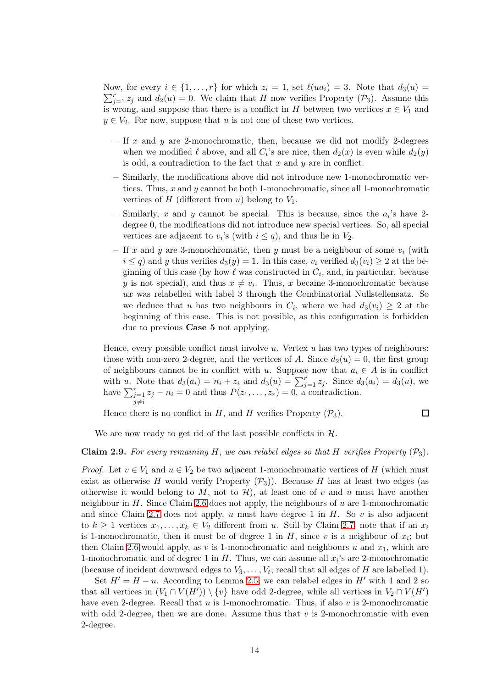$\sum_{j=1}^{r} z_j$  and  $d_2(u) = 0$ . We claim that H now verifies Property (P<sub>3</sub>). Assume this Now, for every  $i \in \{1, ..., r\}$  for which  $z_i = 1$ , set  $\ell(ua_i) = 3$ . Note that  $d_3(u) =$ is wrong, and suppose that there is a conflict in H between two vertices  $x \in V_1$  and  $y \in V_2$ . For now, suppose that u is not one of these two vertices.

- If x and y are 2-monochromatic, then, because we did not modify 2-degrees when we modified  $\ell$  above, and all  $C_i$ 's are nice, then  $d_2(x)$  is even while  $d_2(y)$ is odd, a contradiction to the fact that  $x$  and  $y$  are in conflict.
- Similarly, the modifications above did not introduce new 1-monochromatic vertices. Thus,  $x$  and  $y$  cannot be both 1-monochromatic, since all 1-monochromatic vertices of  $H$  (different from  $u$ ) belong to  $V_1$ .
- Similarly, x and y cannot be special. This is because, since the  $a_i$ 's have 2degree 0, the modifications did not introduce new special vertices. So, all special vertices are adjacent to  $v_i$ 's (with  $i \leq q$ ), and thus lie in  $V_2$ .
- If x and y are 3-monochromatic, then y must be a neighbour of some  $v_i$  (with  $i \leq q$ ) and y thus verifies  $d_3(y) = 1$ . In this case,  $v_i$  verified  $d_3(v_i) \geq 2$  at the beginning of this case (by how  $\ell$  was constructed in  $C_i$ , and, in particular, because y is not special), and thus  $x \neq v_i$ . Thus, x became 3-monochromatic because  $ux$  was relabelled with label 3 through the Combinatorial Nullstellensatz. So we deduce that u has two neighbours in  $C_i$ , where we had  $d_3(v_i) \geq 2$  at the beginning of this case. This is not possible, as this configuration is forbidden due to previous Case 5 not applying.

Hence, every possible conflict must involve  $u$ . Vertex  $u$  has two types of neighbours: those with non-zero 2-degree, and the vertices of A. Since  $d_2(u) = 0$ , the first group of neighbours cannot be in conflict with u. Suppose now that  $a_i \in A$  is in conflict with u. Note that  $d_3(a_i) = n_i + z_i$  and  $d_3(u) = \sum_{j=1}^r z_j$ . Since  $d_3(a_i) = d_3(u)$ , we have  $\sum_{j=1}^r$  $j\neq i$  $z_j - n_i = 0$  and thus  $P(z_1, \ldots, z_r) = 0$ , a contradiction.

Hence there is no conflict in H, and H verifies Property  $(\mathcal{P}_3)$ .

 $\Box$ 

We are now ready to get rid of the last possible conflicts in  $H$ .

#### Claim 2.9. For every remaining H, we can relabel edges so that H verifies Property  $(\mathcal{P}_3)$ .

*Proof.* Let  $v \in V_1$  and  $u \in V_2$  be two adjacent 1-monochromatic vertices of H (which must exist as otherwise H would verify Property  $(\mathcal{P}_3)$ ). Because H has at least two edges (as otherwise it would belong to M, not to  $\mathcal{H}$ ), at least one of v and u must have another neighbour in  $H$ . Since Claim [2.6](#page-7-1) does not apply, the neighbours of  $u$  are 1-monochromatic and since Claim [2.7](#page-8-0) does not apply, u must have degree 1 in  $H$ . So v is also adjacent to  $k \geq 1$  vertices  $x_1, \ldots, x_k \in V_2$  different from u. Still by Claim [2.7,](#page-8-0) note that if an  $x_i$ is 1-monochromatic, then it must be of degree 1 in  $H$ , since v is a neighbour of  $x_i$ ; but then Claim [2.6](#page-7-1) would apply, as v is 1-monochromatic and neighbours u and  $x_1$ , which are 1-monochromatic and of degree 1 in  $H$ . Thus, we can assume all  $x_i$ 's are 2-monochromatic (because of incident downward edges to  $V_3, \ldots, V_t$ ; recall that all edges of H are labelled 1).

Set  $H' = H - u$ . According to Lemma [2.5,](#page-7-0) we can relabel edges in  $H'$  with 1 and 2 so that all vertices in  $(V_1 \cap V(H')) \setminus \{v\}$  have odd 2-degree, while all vertices in  $V_2 \cap V(H')$ have even 2-degree. Recall that  $u$  is 1-monochromatic. Thus, if also  $v$  is 2-monochromatic with odd 2-degree, then we are done. Assume thus that  $v$  is 2-monochromatic with even 2-degree.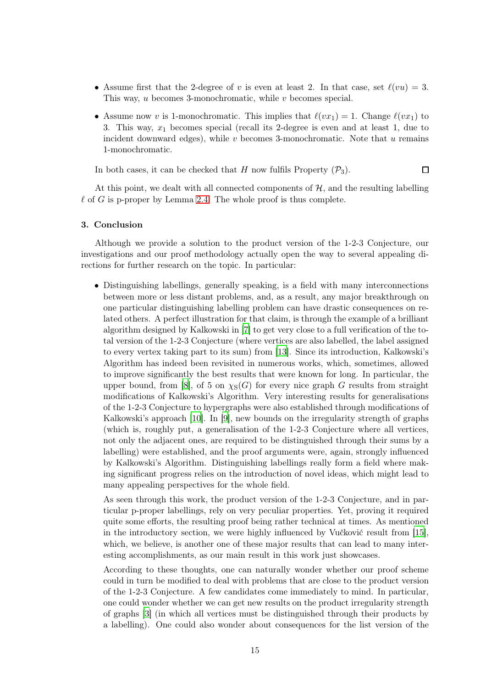- Assume first that the 2-degree of v is even at least 2. In that case, set  $\ell(vu) = 3$ . This way,  $u$  becomes 3-monochromatic, while  $v$  becomes special.
- Assume now v is 1-monochromatic. This implies that  $\ell(vx_1) = 1$ . Change  $\ell(vx_1)$  to 3. This way,  $x_1$  becomes special (recall its 2-degree is even and at least 1, due to incident downward edges), while  $v$  becomes 3-monochromatic. Note that  $u$  remains 1-monochromatic.

In both cases, it can be checked that H now fulfils Property  $(\mathcal{P}_3)$ .  $\Box$ 

At this point, we dealt with all connected components of  $H$ , and the resulting labelling  $\ell$  of G is p-proper by Lemma [2.4.](#page-6-0) The whole proof is thus complete.

### 3. Conclusion

Although we provide a solution to the product version of the 1-2-3 Conjecture, our investigations and our proof methodology actually open the way to several appealing directions for further research on the topic. In particular:

• Distinguishing labellings, generally speaking, is a field with many interconnections between more or less distant problems, and, as a result, any major breakthrough on one particular distinguishing labelling problem can have drastic consequences on related others. A perfect illustration for that claim, is through the example of a brilliant algorithm designed by Kalkowski in [\[7](#page-16-7)] to get very close to a full verification of the total version of the 1-2-3 Conjecture (where vertices are also labelled, the label assigned to every vertex taking part to its sum) from [\[13\]](#page-16-8). Since its introduction, Kalkowski's Algorithm has indeed been revisited in numerous works, which, sometimes, allowed to improve significantly the best results that were known for long. In particular, the upper bound, from [\[8](#page-16-3)], of 5 on  $\chi_S(G)$  for every nice graph G results from straight modifications of Kalkowski's Algorithm. Very interesting results for generalisations of the 1-2-3 Conjecture to hypergraphs were also established through modifications of Kalkowski's approach [\[10](#page-16-9)]. In [\[9\]](#page-16-10), new bounds on the irregularity strength of graphs (which is, roughly put, a generalisation of the 1-2-3 Conjecture where all vertices, not only the adjacent ones, are required to be distinguished through their sums by a labelling) were established, and the proof arguments were, again, strongly influenced by Kalkowski's Algorithm. Distinguishing labellings really form a field where making significant progress relies on the introduction of novel ideas, which might lead to many appealing perspectives for the whole field.

As seen through this work, the product version of the 1-2-3 Conjecture, and in particular p-proper labellings, rely on very peculiar properties. Yet, proving it required quite some efforts, the resulting proof being rather technical at times. As mentioned in the introductory section, we were highly influenced by Vučković result from [\[15\]](#page-16-5), which, we believe, is another one of these major results that can lead to many interesting accomplishments, as our main result in this work just showcases.

According to these thoughts, one can naturally wonder whether our proof scheme could in turn be modified to deal with problems that are close to the product version of the 1-2-3 Conjecture. A few candidates come immediately to mind. In particular, one could wonder whether we can get new results on the product irregularity strength of graphs [\[3\]](#page-16-11) (in which all vertices must be distinguished through their products by a labelling). One could also wonder about consequences for the list version of the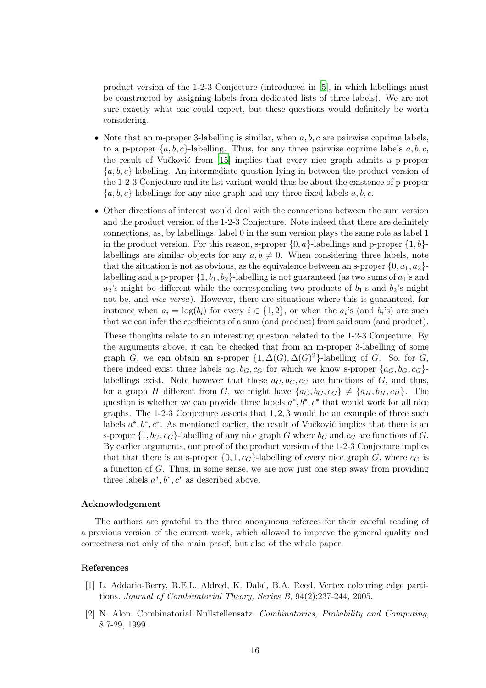product version of the 1-2-3 Conjecture (introduced in [\[5](#page-16-12)], in which labellings must be constructed by assigning labels from dedicated lists of three labels). We are not sure exactly what one could expect, but these questions would definitely be worth considering.

- Note that an m-proper 3-labelling is similar, when  $a, b, c$  are pairwise coprime labels, to a p-proper  $\{a, b, c\}$ -labelling. Thus, for any three pairwise coprime labels a, b, c, the result of Vučković from [\[15\]](#page-16-5) implies that every nice graph admits a p-proper  ${a, b, c}$ -labelling. An intermediate question lying in between the product version of the 1-2-3 Conjecture and its list variant would thus be about the existence of p-proper  ${a, b, c}$ -labellings for any nice graph and any three fixed labels  $a, b, c$ .
- Other directions of interest would deal with the connections between the sum version and the product version of the 1-2-3 Conjecture. Note indeed that there are definitely connections, as, by labellings, label 0 in the sum version plays the same role as label 1 in the product version. For this reason, s-proper  $\{0, a\}$ -labellings and p-proper  $\{1, b\}$ labellings are similar objects for any  $a, b \neq 0$ . When considering three labels, note that the situation is not as obvious, as the equivalence between an s-proper  $\{0, a_1, a_2\}$ labelling and a p-proper  $\{1, b_1, b_2\}$ -labelling is not guaranteed (as two sums of  $a_1$ 's and  $a_2$ 's might be different while the corresponding two products of  $b_1$ 's and  $b_2$ 's might not be, and *vice versa*). However, there are situations where this is guaranteed, for instance when  $a_i = \log(b_i)$  for every  $i \in \{1, 2\}$ , or when the  $a_i$ 's (and  $b_i$ 's) are such that we can infer the coefficients of a sum (and product) from said sum (and product).

These thoughts relate to an interesting question related to the 1-2-3 Conjecture. By the arguments above, it can be checked that from an m-proper 3-labelling of some graph G, we can obtain an s-proper  $\{1, \Delta(G), \Delta(G)^2\}$ -labelling of G. So, for G, there indeed exist three labels  $a_G, b_G, c_G$  for which we know s-proper  $\{a_G, b_G, c_G\}$ labellings exist. Note however that these  $a_G, b_G, c_G$  are functions of G, and thus, for a graph H different from G, we might have  $\{a_G, b_G, c_G\} \neq \{a_H, b_H, c_H\}$ . The question is whether we can provide three labels  $a^*, b^*, c^*$  that would work for all nice graphs. The 1-2-3 Conjecture asserts that 1, 2, 3 would be an example of three such labels  $a^*, b^*, c^*$ . As mentioned earlier, the result of Vučković implies that there is an s-proper  $\{1, b_G, c_G\}$ -labelling of any nice graph G where  $b_G$  and  $c_G$  are functions of G. By earlier arguments, our proof of the product version of the 1-2-3 Conjecture implies that that there is an s-proper  $\{0, 1, c_G\}$ -labelling of every nice graph G, where  $c_G$  is a function of G. Thus, in some sense, we are now just one step away from providing three labels  $a^*, b^*, c^*$  as described above.

## Acknowledgement

The authors are grateful to the three anonymous referees for their careful reading of a previous version of the current work, which allowed to improve the general quality and correctness not only of the main proof, but also of the whole paper.

#### References

- <span id="page-15-0"></span>[1] L. Addario-Berry, R.E.L. Aldred, K. Dalal, B.A. Reed. Vertex colouring edge partitions. Journal of Combinatorial Theory, Series B, 94(2):237-244, 2005.
- <span id="page-15-1"></span>[2] N. Alon. Combinatorial Nullstellensatz. Combinatorics, Probability and Computing, 8:7-29, 1999.